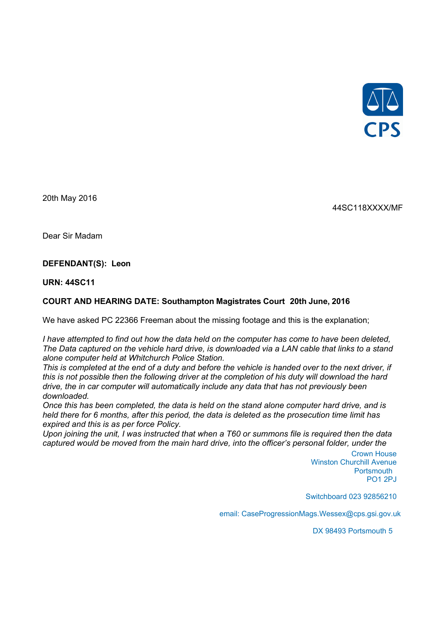

20th May 2016

44SC118XXXX/MF

Dear Sir Madam

## **DEFENDANT(S): Leon**

**URN: 44SC11**

## **COURT AND HEARING DATE: Southampton Magistrates Court 20th June, 2016**

We have asked PC 22366 Freeman about the missing footage and this is the explanation;

*I have attempted to find out how the data held on the computer has come to have been deleted, The Data captured on the vehicle hard drive, is downloaded via a LAN cable that links to a stand alone computer held at Whitchurch Police Station.*

*This is completed at the end of a duty and before the vehicle is handed over to the next driver, if this is not possible then the following driver at the completion of his duty will download the hard drive, the in car computer will automatically include any data that has not previously been downloaded.*

*Once this has been completed, the data is held on the stand alone computer hard drive, and is held there for 6 months, after this period, the data is deleted as the prosecution time limit has expired and this is as per force Policy.*

*Upon joining the unit, I was instructed that when a T60 or summons file is required then the data captured would be moved from the main hard drive, into the officer's personal folder, under the* 

> Crown House Winston Churchill Avenue Portsmouth PO1 2PJ

Switchboard 023 92856210

email: CaseProgressionMags.Wessex@cps.gsi.gov.uk

DX 98493 Portsmouth 5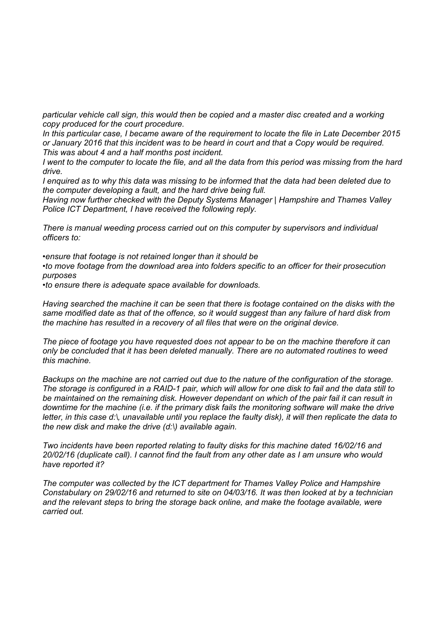*particular vehicle call sign, this would then be copied and a master disc created and a working copy produced for the court procedure.*

*In this particular case, I became aware of the requirement to locate the file in Late December 2015 or January 2016 that this incident was to be heard in court and that a Copy would be required. This was about 4 and a half months post incident.*

*I went to the computer to locate the file, and all the data from this period was missing from the hard drive.*

*I enquired as to why this data was missing to be informed that the data had been deleted due to the computer developing a fault, and the hard drive being full.* 

*Having now further checked with the Deputy Systems Manager | Hampshire and Thames Valley Police ICT Department, I have received the following reply.*

*There is manual weeding process carried out on this computer by supervisors and individual officers to:*

*•ensure that footage is not retained longer than it should be •to move footage from the download area into folders specific to an officer for their prosecution purposes*

*•to ensure there is adequate space available for downloads.*

*Having searched the machine it can be seen that there is footage contained on the disks with the same modified date as that of the offence, so it would suggest than any failure of hard disk from the machine has resulted in a recovery of all files that were on the original device.*

*The piece of footage you have requested does not appear to be on the machine therefore it can only be concluded that it has been deleted manually. There are no automated routines to weed this machine.*

*Backups on the machine are not carried out due to the nature of the configuration of the storage. The storage is configured in a RAID-1 pair, which will allow for one disk to fail and the data still to be maintained on the remaining disk. However dependant on which of the pair fail it can result in downtime for the machine (i.e. if the primary disk fails the monitoring software will make the drive letter, in this case d:\, unavailable until you replace the faulty disk), it will then replicate the data to the new disk and make the drive (d:\) available again.*

*Two incidents have been reported relating to faulty disks for this machine dated 16/02/16 and 20/02/16 (duplicate call). I cannot find the fault from any other date as I am unsure who would have reported it?*

*The computer was collected by the ICT department for Thames Valley Police and Hampshire Constabulary on 29/02/16 and returned to site on 04/03/16. It was then looked at by a technician and the relevant steps to bring the storage back online, and make the footage available, were carried out.*